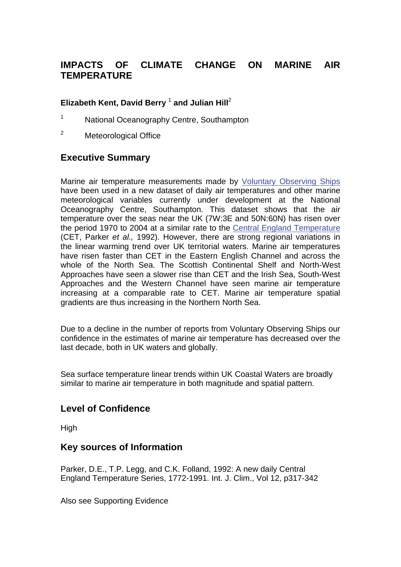# **IMPACTS OF CLIMATE CHANGE ON MARINE AIR TEMPERATURE**

## Elizabeth Kent, David Berry <sup>1</sup> and Julian Hill<sup>2</sup>

- 1 National Oceanography Centre, Southampton
- 2 Meteorological Office

## **Executive Summary**

Marine air temperature measurements made by [Voluntary Observing Ships](http://www.mccip.org.uk/arc/glossary.htm) have been used in a new dataset of daily air temperatures and other marine meteorological variables currently under development at the National Oceanography Centre, Southampton. This dataset shows that the air temperature over the seas near the UK (7W:3E and 50N:60N) has risen over the period 1970 to 2004 at a similar rate to the [Central England Temperature](http://www.mccip.org.uk/arc/glossary.htm) (CET, Parker *et al.,* 1992). However, there are strong regional variations in the linear warming trend over UK territorial waters. Marine air temperatures have risen faster than CET in the Eastern English Channel and across the whole of the North Sea. The Scottish Continental Shelf and North-West Approaches have seen a slower rise than CET and the Irish Sea, South-West Approaches and the Western Channel have seen marine air temperature increasing at a comparable rate to CET. Marine air temperature spatial gradients are thus increasing in the Northern North Sea.

Due to a decline in the number of reports from Voluntary Observing Ships our confidence in the estimates of marine air temperature has decreased over the last decade, both in UK waters and globally.

Sea surface temperature linear trends within UK Coastal Waters are broadly similar to marine air temperature in both magnitude and spatial pattern.

## **Level of Confidence**

High

## **Key sources of Information**

Parker, D.E., T.P. Legg, and C.K. Folland, 1992: A new daily Central England Temperature Series, 1772-1991. Int. J. Clim., Vol 12, p317-342

Also see Supporting Evidence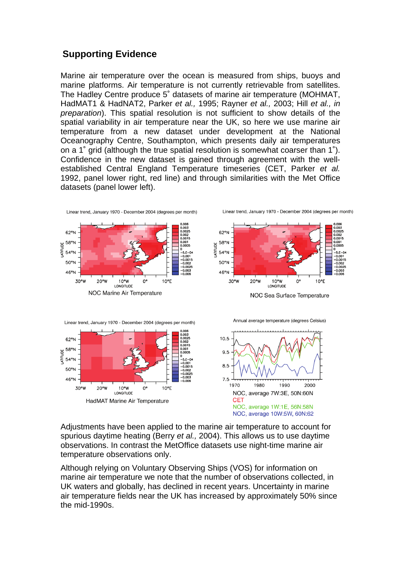# **Supporting Evidence**

Marine air temperature over the ocean is measured from ships, buoys and marine platforms. Air temperature is not currently retrievable from satellites. The Hadley Centre produce 5˚ datasets of marine air temperature (MOHMAT, HadMAT1 & HadNAT2, Parker *et al.,* 1995; Rayner *et al.,* 2003; Hill *et al., in preparation*). This spatial resolution is not sufficient to show details of the spatial variability in air temperature near the UK, so here we use marine air temperature from a new dataset under development at the National Oceanography Centre, Southampton, which presents daily air temperatures on a 1˚ grid (although the true spatial resolution is somewhat coarser than 1˚). Confidence in the new dataset is gained through agreement with the wellestablished Central England Temperature timeseries (CET, Parker *et al.* 1992, panel lower right, red line) and through similarities with the Met Office datasets (panel lower left).



NOC, average 10W:5W, 60N:62 Adjustments have been applied to the marine air temperature to account for spurious daytime heating (Berry *et al.,* 2004). This allows us to use daytime

observations. In contrast the MetOffice datasets use night-time marine air temperature observations only. Although relying on Voluntary Observing Ships (VOS) for information on

marine air temperature we note that the number of observations collected, in UK waters and globally, has declined in recent years. Uncertainty in marine air temperature fields near the UK has increased by approximately 50% since the mid-1990s.